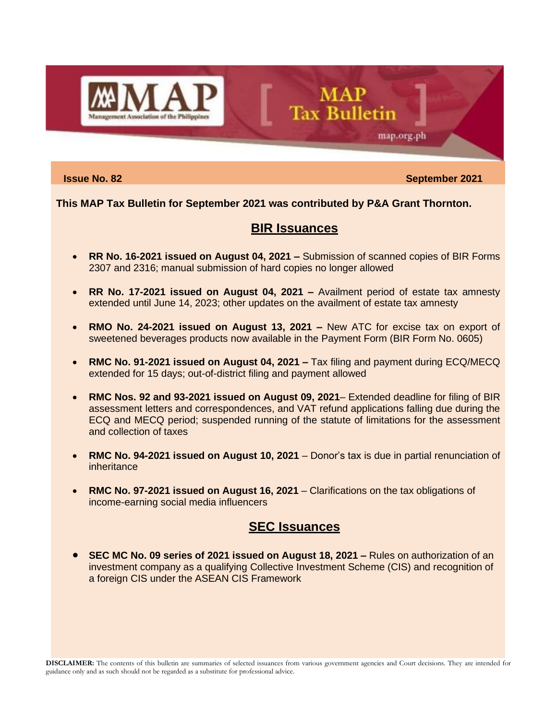

**Issue No. 82** September 2021

map.org.ph

## **This MAP Tax Bulletin for September 2021 was contributed by P&A Grant Thornton.**

# **BIR Issuances**

**MAP** 

**Tax Bulletin** 

- **RR No. 16-2021 issued on August 04, 2021 –** Submission of scanned copies of BIR Forms 2307 and 2316; manual submission of hard copies no longer allowed
- **RR No. 17-2021 issued on August 04, 2021 –** Availment period of estate tax amnesty extended until June 14, 2023; other updates on the availment of estate tax amnesty
- **RMO No. 24-2021 issued on August 13, 2021 –** New ATC for excise tax on export of sweetened beverages products now available in the Payment Form (BIR Form No. 0605)
- **RMC No. 91-2021 issued on August 04, 2021 –** Tax filing and payment during ECQ/MECQ extended for 15 days; out-of-district filing and payment allowed
- **RMC Nos. 92 and 93-2021 issued on August 09, 2021** Extended deadline for filing of BIR assessment letters and correspondences, and VAT refund applications falling due during the ECQ and MECQ period; suspended running of the statute of limitations for the assessment and collection of taxes
- **RMC No. 94-2021 issued on August 10, 2021** Donor's tax is due in partial renunciation of inheritance
- **RMC No. 97-2021 issued on August 16, 2021** Clarifications on the tax obligations of income-earning social media influencers

# **SEC Issuances**

• **SEC MC No. 09 series of 2021 issued on August 18, 2021 –** Rules on authorization of an investment company as a qualifying Collective Investment Scheme (CIS) and recognition of a foreign CIS under the ASEAN CIS Framework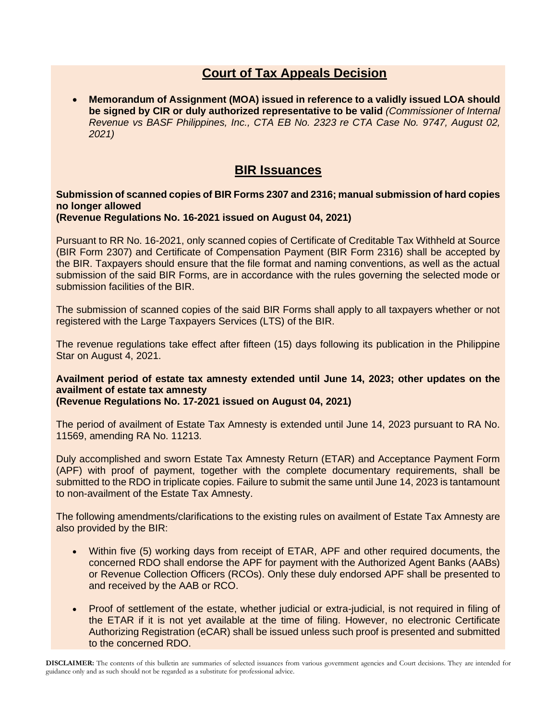# **Court of Tax Appeals Decision**

• **Memorandum of Assignment (MOA) issued in reference to a validly issued LOA should be signed by CIR or duly authorized representative to be valid** *(Commissioner of Internal Revenue vs BASF Philippines, Inc., CTA EB No. 2323 re CTA Case No. 9747, August 02, 2021)*

# **BIR Issuances**

## **Submission of scanned copies of BIR Forms 2307 and 2316; manual submission of hard copies no longer allowed**

## **(Revenue Regulations No. 16-2021 issued on August 04, 2021)**

Pursuant to RR No. 16-2021, only scanned copies of Certificate of Creditable Tax Withheld at Source (BIR Form 2307) and Certificate of Compensation Payment (BIR Form 2316) shall be accepted by the BIR. Taxpayers should ensure that the file format and naming conventions, as well as the actual submission of the said BIR Forms, are in accordance with the rules governing the selected mode or submission facilities of the BIR.

The submission of scanned copies of the said BIR Forms shall apply to all taxpayers whether or not registered with the Large Taxpayers Services (LTS) of the BIR.

The revenue regulations take effect after fifteen (15) days following its publication in the Philippine Star on August 4, 2021.

# **Availment period of estate tax amnesty extended until June 14, 2023; other updates on the availment of estate tax amnesty**

## **(Revenue Regulations No. 17-2021 issued on August 04, 2021)**

The period of availment of Estate Tax Amnesty is extended until June 14, 2023 pursuant to RA No. 11569, amending RA No. 11213.

Duly accomplished and sworn Estate Tax Amnesty Return (ETAR) and Acceptance Payment Form (APF) with proof of payment, together with the complete documentary requirements, shall be submitted to the RDO in triplicate copies. Failure to submit the same until June 14, 2023 is tantamount to non-availment of the Estate Tax Amnesty.

The following amendments/clarifications to the existing rules on availment of Estate Tax Amnesty are also provided by the BIR:

- Within five (5) working days from receipt of ETAR, APF and other required documents, the concerned RDO shall endorse the APF for payment with the Authorized Agent Banks (AABs) or Revenue Collection Officers (RCOs). Only these duly endorsed APF shall be presented to and received by the AAB or RCO.
- Proof of settlement of the estate, whether judicial or extra-judicial, is not required in filing of the ETAR if it is not yet available at the time of filing. However, no electronic Certificate Authorizing Registration (eCAR) shall be issued unless such proof is presented and submitted to the concerned RDO.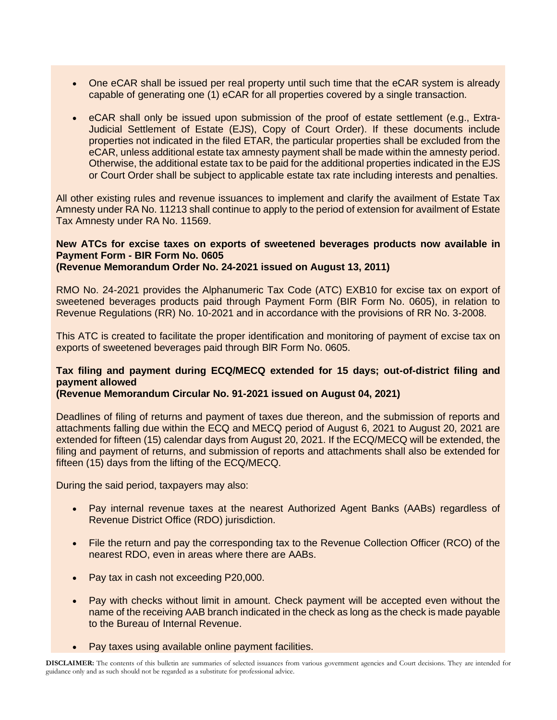- One eCAR shall be issued per real property until such time that the eCAR system is already capable of generating one (1) eCAR for all properties covered by a single transaction.
- eCAR shall only be issued upon submission of the proof of estate settlement (e.g., Extra-Judicial Settlement of Estate (EJS), Copy of Court Order). If these documents include properties not indicated in the filed ETAR, the particular properties shall be excluded from the eCAR, unless additional estate tax amnesty payment shall be made within the amnesty period. Otherwise, the additional estate tax to be paid for the additional properties indicated in the EJS or Court Order shall be subject to applicable estate tax rate including interests and penalties.

All other existing rules and revenue issuances to implement and clarify the availment of Estate Tax Amnesty under RA No. 11213 shall continue to apply to the period of extension for availment of Estate Tax Amnesty under RA No. 11569.

## **New ATCs for excise taxes on exports of sweetened beverages products now available in Payment Form - BIR Form No. 0605**

**(Revenue Memorandum Order No. 24-2021 issued on August 13, 2011)**

RMO No. 24-2021 provides the Alphanumeric Tax Code (ATC) EXB10 for excise tax on export of sweetened beverages products paid through Payment Form (BIR Form No. 0605), in relation to Revenue Regulations (RR) No. 10-2021 and in accordance with the provisions of RR No. 3-2008.

This ATC is created to facilitate the proper identification and monitoring of payment of excise tax on exports of sweetened beverages paid through BlR Form No. 0605.

## **Tax filing and payment during ECQ/MECQ extended for 15 days; out-of-district filing and payment allowed**

## **(Revenue Memorandum Circular No. 91-2021 issued on August 04, 2021)**

Deadlines of filing of returns and payment of taxes due thereon, and the submission of reports and attachments falling due within the ECQ and MECQ period of August 6, 2021 to August 20, 2021 are extended for fifteen (15) calendar days from August 20, 2021. If the ECQ/MECQ will be extended, the filing and payment of returns, and submission of reports and attachments shall also be extended for fifteen (15) days from the lifting of the ECQ/MECQ.

During the said period, taxpayers may also:

- Pay internal revenue taxes at the nearest Authorized Agent Banks (AABs) regardless of Revenue District Office (RDO) jurisdiction.
- File the return and pay the corresponding tax to the Revenue Collection Officer (RCO) of the nearest RDO, even in areas where there are AABs.
- Pay tax in cash not exceeding P20,000.
- Pay with checks without limit in amount. Check payment will be accepted even without the name of the receiving AAB branch indicated in the check as long as the check is made payable to the Bureau of Internal Revenue.
- Pay taxes using available online payment facilities.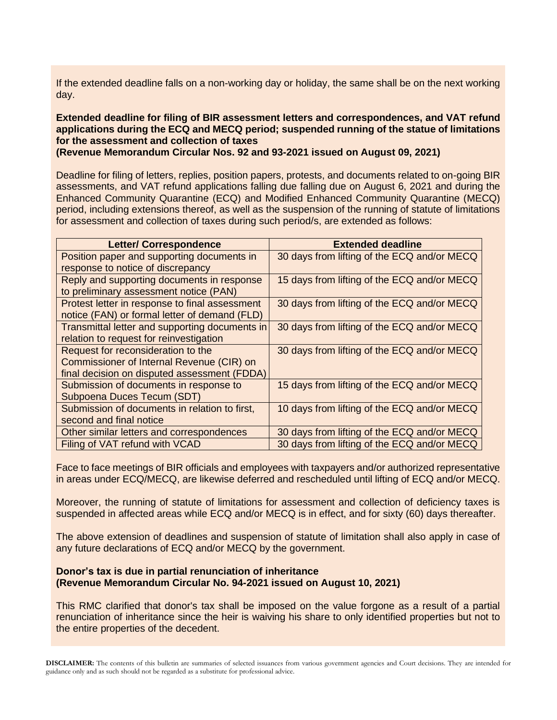If the extended deadline falls on a non-working day or holiday, the same shall be on the next working day.

## **Extended deadline for filing of BIR assessment letters and correspondences, and VAT refund applications during the ECQ and MECQ period; suspended running of the statue of limitations for the assessment and collection of taxes**

**(Revenue Memorandum Circular Nos. 92 and 93-2021 issued on August 09, 2021)**

Deadline for filing of letters, replies, position papers, protests, and documents related to on-going BIR assessments, and VAT refund applications falling due falling due on August 6, 2021 and during the Enhanced Community Quarantine (ECQ) and Modified Enhanced Community Quarantine (MECQ) period, including extensions thereof, as well as the suspension of the running of statute of limitations for assessment and collection of taxes during such period/s, are extended as follows:

| <b>Letter/ Correspondence</b>                  | <b>Extended deadline</b>                    |
|------------------------------------------------|---------------------------------------------|
| Position paper and supporting documents in     | 30 days from lifting of the ECQ and/or MECQ |
| response to notice of discrepancy              |                                             |
| Reply and supporting documents in response     | 15 days from lifting of the ECQ and/or MECQ |
| to preliminary assessment notice (PAN)         |                                             |
| Protest letter in response to final assessment | 30 days from lifting of the ECQ and/or MECQ |
| notice (FAN) or formal letter of demand (FLD)  |                                             |
| Transmittal letter and supporting documents in | 30 days from lifting of the ECQ and/or MECQ |
| relation to request for reinvestigation        |                                             |
| Request for reconsideration to the             | 30 days from lifting of the ECQ and/or MECQ |
| Commissioner of Internal Revenue (CIR) on      |                                             |
| final decision on disputed assessment (FDDA)   |                                             |
| Submission of documents in response to         | 15 days from lifting of the ECQ and/or MECQ |
| Subpoena Duces Tecum (SDT)                     |                                             |
| Submission of documents in relation to first,  | 10 days from lifting of the ECQ and/or MECQ |
| second and final notice                        |                                             |
| Other similar letters and correspondences      | 30 days from lifting of the ECQ and/or MECQ |
| Filing of VAT refund with VCAD                 | 30 days from lifting of the ECQ and/or MECQ |

Face to face meetings of BIR officials and employees with taxpayers and/or authorized representative in areas under ECQ/MECQ, are likewise deferred and rescheduled until lifting of ECQ and/or MECQ.

Moreover, the running of statute of limitations for assessment and collection of deficiency taxes is suspended in affected areas while ECQ and/or MECQ is in effect, and for sixty (60) days thereafter.

The above extension of deadlines and suspension of statute of limitation shall also apply in case of any future declarations of ECQ and/or MECQ by the government.

## **Donor's tax is due in partial renunciation of inheritance (Revenue Memorandum Circular No. 94-2021 issued on August 10, 2021)**

This RMC clarified that donor's tax shall be imposed on the value forgone as a result of a partial renunciation of inheritance since the heir is waiving his share to only identified properties but not to the entire properties of the decedent.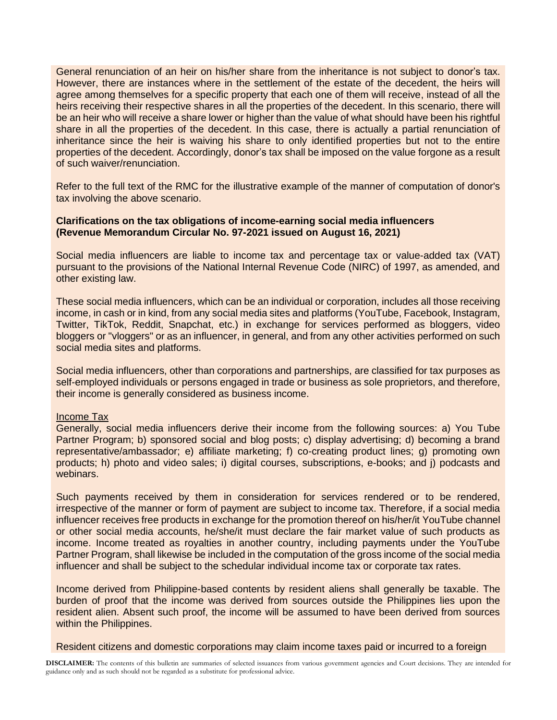General renunciation of an heir on his/her share from the inheritance is not subject to donor's tax. However, there are instances where in the settlement of the estate of the decedent, the heirs will agree among themselves for a specific property that each one of them will receive, instead of all the heirs receiving their respective shares in all the properties of the decedent. In this scenario, there will be an heir who will receive a share lower or higher than the value of what should have been his rightful share in all the properties of the decedent. In this case, there is actually a partial renunciation of inheritance since the heir is waiving his share to only identified properties but not to the entire properties of the decedent. Accordingly, donor's tax shall be imposed on the value forgone as a result of such waiver/renunciation.

Refer to the full text of the RMC for the illustrative example of the manner of computation of donor's tax involving the above scenario.

## **Clarifications on the tax obligations of income-earning social media influencers (Revenue Memorandum Circular No. 97-2021 issued on August 16, 2021)**

Social media influencers are liable to income tax and percentage tax or value-added tax (VAT) pursuant to the provisions of the National Internal Revenue Code (NIRC) of 1997, as amended, and other existing law.

These social media influencers, which can be an individual or corporation, includes all those receiving income, in cash or in kind, from any social media sites and platforms (YouTube, Facebook, Instagram, Twitter, TikTok, Reddit, Snapchat, etc.) in exchange for services performed as bloggers, video bloggers or "vloggers" or as an influencer, in general, and from any other activities performed on such social media sites and platforms.

Social media influencers, other than corporations and partnerships, are classified for tax purposes as self-employed individuals or persons engaged in trade or business as sole proprietors, and therefore, their income is generally considered as business income.

## Income Tax

Generally, social media influencers derive their income from the following sources: a) You Tube Partner Program; b) sponsored social and blog posts; c) display advertising; d) becoming a brand representative/ambassador; e) affiliate marketing; f) co-creating product lines; g) promoting own products; h) photo and video sales; i) digital courses, subscriptions, e-books; and j) podcasts and webinars.

Such payments received by them in consideration for services rendered or to be rendered, irrespective of the manner or form of payment are subject to income tax. Therefore, if a social media influencer receives free products in exchange for the promotion thereof on his/her/it YouTube channel or other social media accounts, he/she/it must declare the fair market value of such products as income. Income treated as royalties in another country, including payments under the YouTube Partner Program, shall likewise be included in the computation of the gross income of the social media influencer and shall be subject to the schedular individual income tax or corporate tax rates.

Income derived from Philippine-based contents by resident aliens shall generally be taxable. The burden of proof that the income was derived from sources outside the Philippines lies upon the resident alien. Absent such proof, the income will be assumed to have been derived from sources within the Philippines.

Resident citizens and domestic corporations may claim income taxes paid or incurred to a foreign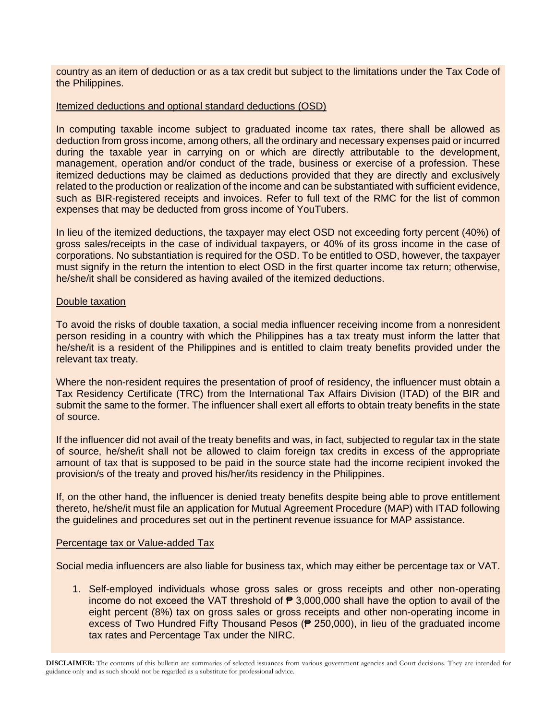country as an item of deduction or as a tax credit but subject to the limitations under the Tax Code of the Philippines.

## Itemized deductions and optional standard deductions (OSD)

In computing taxable income subject to graduated income tax rates, there shall be allowed as deduction from gross income, among others, all the ordinary and necessary expenses paid or incurred during the taxable year in carrying on or which are directly attributable to the development, management, operation and/or conduct of the trade, business or exercise of a profession. These itemized deductions may be claimed as deductions provided that they are directly and exclusively related to the production or realization of the income and can be substantiated with sufficient evidence, such as BIR-registered receipts and invoices. Refer to full text of the RMC for the list of common expenses that may be deducted from gross income of YouTubers.

In lieu of the itemized deductions, the taxpayer may elect OSD not exceeding forty percent (40%) of gross sales/receipts in the case of individual taxpayers, or 40% of its gross income in the case of corporations. No substantiation is required for the OSD. To be entitled to OSD, however, the taxpayer must signify in the return the intention to elect OSD in the first quarter income tax return; otherwise, he/she/it shall be considered as having availed of the itemized deductions.

## Double taxation

To avoid the risks of double taxation, a social media influencer receiving income from a nonresident person residing in a country with which the Philippines has a tax treaty must inform the latter that he/she/it is a resident of the Philippines and is entitled to claim treaty benefits provided under the relevant tax treaty.

Where the non-resident requires the presentation of proof of residency, the influencer must obtain a Tax Residency Certificate (TRC) from the International Tax Affairs Division (ITAD) of the BIR and submit the same to the former. The influencer shall exert all efforts to obtain treaty benefits in the state of source.

If the influencer did not avail of the treaty benefits and was, in fact, subjected to regular tax in the state of source, he/she/it shall not be allowed to claim foreign tax credits in excess of the appropriate amount of tax that is supposed to be paid in the source state had the income recipient invoked the provision/s of the treaty and proved his/her/its residency in the Philippines.

If, on the other hand, the influencer is denied treaty benefits despite being able to prove entitlement thereto, he/she/it must file an application for Mutual Agreement Procedure (MAP) with ITAD following the guidelines and procedures set out in the pertinent revenue issuance for MAP assistance.

## Percentage tax or Value-added Tax

Social media influencers are also liable for business tax, which may either be percentage tax or VAT.

1. Self-employed individuals whose gross sales or gross receipts and other non-operating income do not exceed the VAT threshold of  $\bar{P}$  3,000,000 shall have the option to avail of the eight percent (8%) tax on gross sales or gross receipts and other non-operating income in excess of Two Hundred Fifty Thousand Pesos (₱ 250,000), in lieu of the graduated income tax rates and Percentage Tax under the NIRC.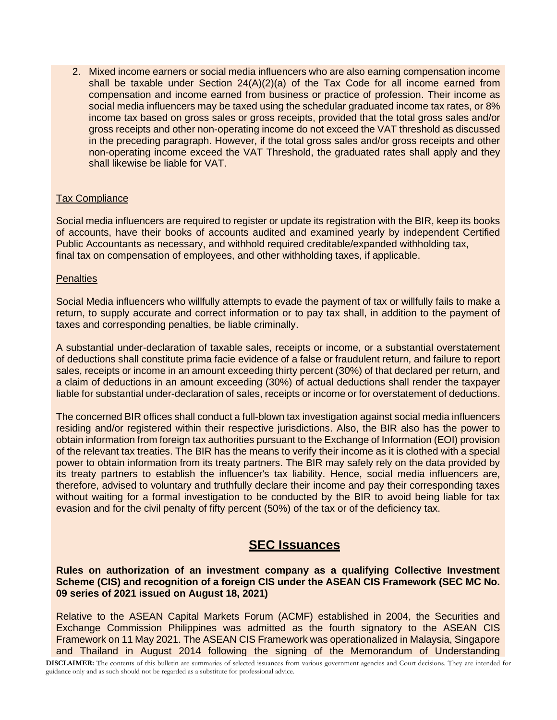2. Mixed income earners or social media influencers who are also earning compensation income shall be taxable under Section  $24(A)(2)(a)$  of the Tax Code for all income earned from compensation and income earned from business or practice of profession. Their income as social media influencers may be taxed using the schedular graduated income tax rates, or 8% income tax based on gross sales or gross receipts, provided that the total gross sales and/or gross receipts and other non-operating income do not exceed the VAT threshold as discussed in the preceding paragraph. However, if the total gross sales and/or gross receipts and other non-operating income exceed the VAT Threshold, the graduated rates shall apply and they shall likewise be liable for VAT.

## Tax Compliance

Social media influencers are required to register or update its registration with the BIR, keep its books of accounts, have their books of accounts audited and examined yearly by independent Certified Public Accountants as necessary, and withhold required creditable/expanded withholding tax, final tax on compensation of employees, and other withholding taxes, if applicable.

## **Penalties**

Social Media influencers who willfully attempts to evade the payment of tax or willfully fails to make a return, to supply accurate and correct information or to pay tax shall, in addition to the payment of taxes and corresponding penalties, be liable criminally.

A substantial under-declaration of taxable sales, receipts or income, or a substantial overstatement of deductions shall constitute prima facie evidence of a false or fraudulent return, and failure to report sales, receipts or income in an amount exceeding thirty percent (30%) of that declared per return, and a claim of deductions in an amount exceeding (30%) of actual deductions shall render the taxpayer liable for substantial under-declaration of sales, receipts or income or for overstatement of deductions.

The concerned BIR offices shall conduct a full-blown tax investigation against social media influencers residing and/or registered within their respective jurisdictions. Also, the BIR also has the power to obtain information from foreign tax authorities pursuant to the Exchange of Information (EOI) provision of the relevant tax treaties. The BIR has the means to verify their income as it is clothed with a special power to obtain information from its treaty partners. The BIR may safely rely on the data provided by its treaty partners to establish the influencer's tax liability. Hence, social media influencers are, therefore, advised to voluntary and truthfully declare their income and pay their corresponding taxes without waiting for a formal investigation to be conducted by the BIR to avoid being liable for tax evasion and for the civil penalty of fifty percent (50%) of the tax or of the deficiency tax.

# **SEC Issuances**

**Rules on authorization of an investment company as a qualifying Collective Investment Scheme (CIS) and recognition of a foreign CIS under the ASEAN CIS Framework (SEC MC No. 09 series of 2021 issued on August 18, 2021)**

Relative to the ASEAN Capital Markets Forum (ACMF) established in 2004, the Securities and Exchange Commission Philippines was admitted as the fourth signatory to the ASEAN CIS Framework on 11 May 2021. The ASEAN CIS Framework was operationalized in Malaysia, Singapore and Thailand in August 2014 following the signing of the Memorandum of Understanding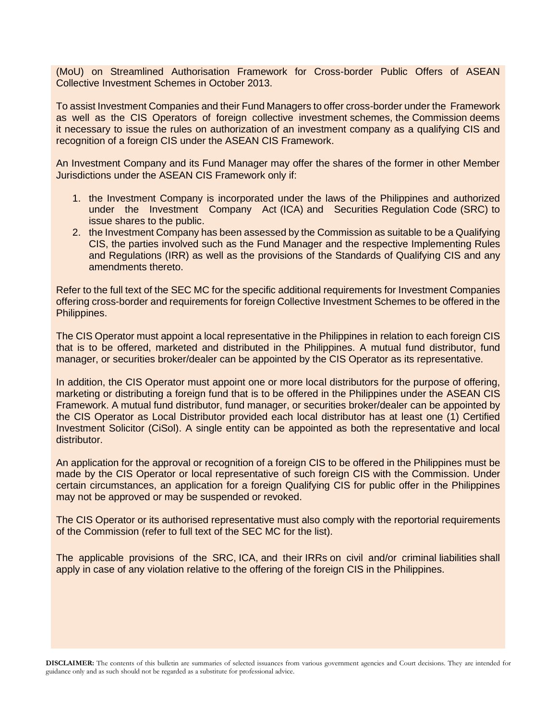(MoU) on Streamlined Authorisation Framework for Cross-border Public Offers of ASEAN Collective Investment Schemes in October 2013.

To assist Investment Companies and their Fund Managers to offer cross-border under the Framework as well as the CIS Operators of foreign collective investment schemes, the Commission deems it necessary to issue the rules on authorization of an investment company as a qualifying CIS and recognition of a foreign CIS under the ASEAN CIS Framework.

An Investment Company and its Fund Manager may offer the shares of the former in other Member Jurisdictions under the ASEAN CIS Framework only if:

- 1. the Investment Company is incorporated under the laws of the Philippines and authorized under the Investment Company Act (ICA) and Securities Regulation Code (SRC) to issue shares to the public.
- 2. the Investment Company has been assessed by the Commission as suitable to be a Qualifying CIS, the parties involved such as the Fund Manager and the respective Implementing Rules and Regulations (IRR) as well as the provisions of the Standards of Qualifying CIS and any amendments thereto.

Refer to the full text of the SEC MC for the specific additional requirements for Investment Companies offering cross-border and requirements for foreign Collective Investment Schemes to be offered in the Philippines.

The CIS Operator must appoint a local representative in the Philippines in relation to each foreign CIS that is to be offered, marketed and distributed in the Philippines. A mutual fund distributor, fund manager, or securities broker/dealer can be appointed by the CIS Operator as its representative.

In addition, the CIS Operator must appoint one or more local distributors for the purpose of offering, marketing or distributing a foreign fund that is to be offered in the Philippines under the ASEAN CIS Framework. A mutual fund distributor, fund manager, or securities broker/dealer can be appointed by the CIS Operator as Local Distributor provided each local distributor has at least one (1) Certified Investment Solicitor (CiSol). A single entity can be appointed as both the representative and local distributor.

An application for the approval or recognition of a foreign CIS to be offered in the Philippines must be made by the CIS Operator or local representative of such foreign CIS with the Commission. Under certain circumstances, an application for a foreign Qualifying CIS for public offer in the Philippines may not be approved or may be suspended or revoked.

The CIS Operator or its authorised representative must also comply with the reportorial requirements of the Commission (refer to full text of the SEC MC for the list).

The applicable provisions of the SRC, ICA, and their IRRs on civil and/or criminal liabilities shall apply in case of any violation relative to the offering of the foreign CIS in the Philippines.